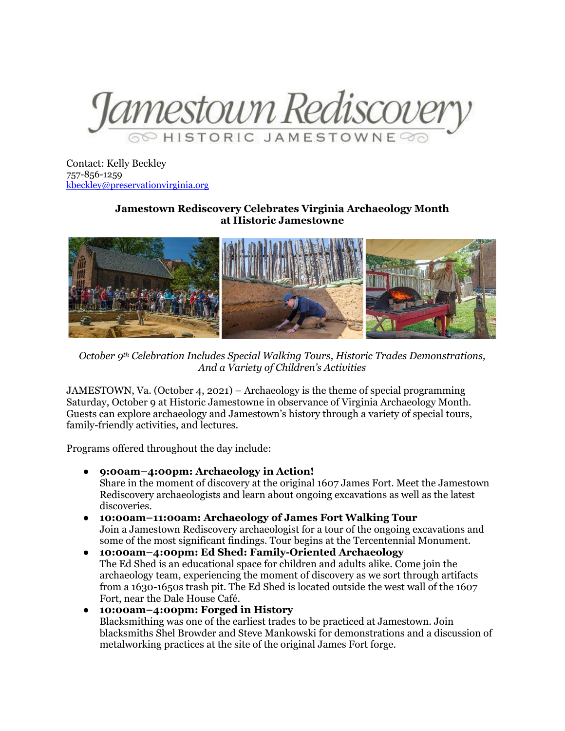

Contact: Kelly Beckley 757-856-1259 [kbeckley@preservationvirginia.org](mailto:kbeckley@preservationvirginia.org)

## **Jamestown Rediscovery Celebrates Virginia Archaeology Month at Historic Jamestowne**



*October 9th Celebration Includes Special Walking Tours, Historic Trades Demonstrations, And a Variety of Children's Activities*

JAMESTOWN, Va. (October 4, 2021) – Archaeology is the theme of special programming Saturday, October 9 at Historic Jamestowne in observance of Virginia Archaeology Month. Guests can explore archaeology and Jamestown's history through a variety of special tours, family-friendly activities, and lectures.

Programs offered throughout the day include:

- **9:00am–4:00pm: Archaeology in Action!** Share in the moment of discovery at the original 1607 James Fort. Meet the Jamestown Rediscovery archaeologists and learn about ongoing excavations as well as the latest discoveries.
- **10:00am–11:00am: Archaeology of James Fort Walking Tour** Join a Jamestown Rediscovery archaeologist for a tour of the ongoing excavations and some of the most significant findings. Tour begins at the Tercentennial Monument.
- **10:00am–4:00pm: Ed Shed: Family-Oriented Archaeology** The Ed Shed is an educational space for children and adults alike. Come join the archaeology team, experiencing the moment of discovery as we sort through artifacts from a 1630-1650s trash pit. The Ed Shed is located outside the west wall of the 1607 Fort, near the Dale House Café.
- **10:00am–4:00pm: Forged in History** Blacksmithing was one of the earliest trades to be practiced at Jamestown. Join blacksmiths Shel Browder and Steve Mankowski for demonstrations and a discussion of metalworking practices at the site of the original James Fort forge.